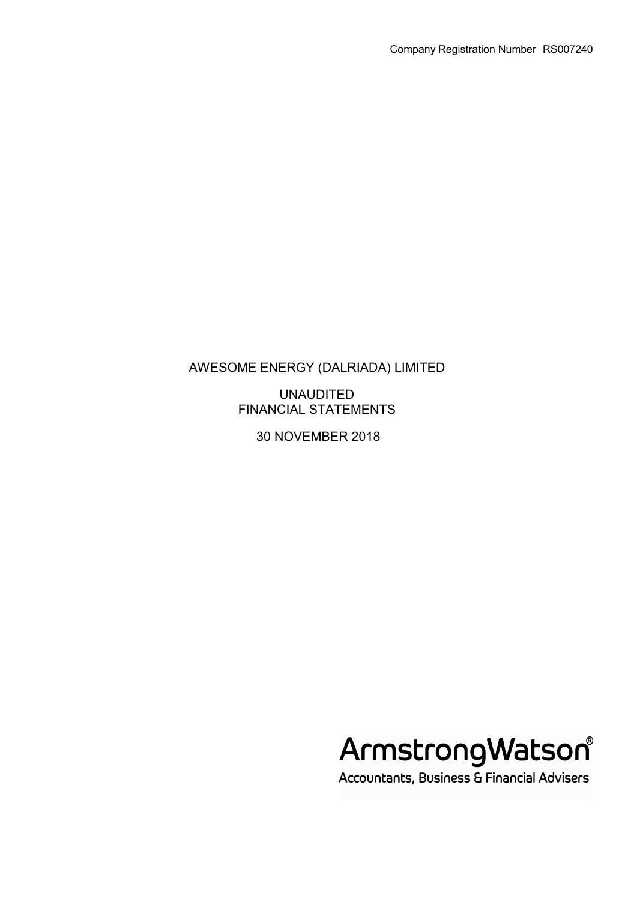UNAUDITED FINANCIAL STATEMENTS

30 NOVEMBER 2018



Accountants, Business & Financial Advisers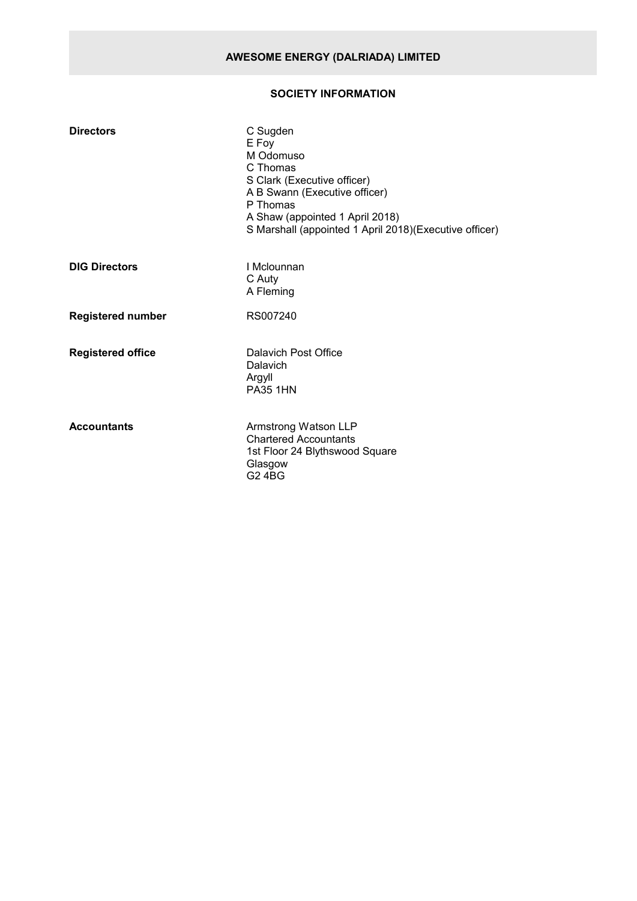# **SOCIETY INFORMATION**

| <b>Directors</b>         | C Sugden<br>E Foy<br>M Odomuso<br>C Thomas<br>S Clark (Executive officer)<br>A B Swann (Executive officer)<br>P Thomas<br>A Shaw (appointed 1 April 2018)<br>S Marshall (appointed 1 April 2018)(Executive officer) |
|--------------------------|---------------------------------------------------------------------------------------------------------------------------------------------------------------------------------------------------------------------|
| <b>DIG Directors</b>     | I Mclounnan<br>C Auty<br>A Fleming                                                                                                                                                                                  |
| <b>Registered number</b> | RS007240                                                                                                                                                                                                            |
| <b>Registered office</b> | Dalavich Post Office<br>Dalavich<br>Argyll<br><b>PA35 1HN</b>                                                                                                                                                       |
| <b>Accountants</b>       | Armstrong Watson LLP<br><b>Chartered Accountants</b><br>1st Floor 24 Blythswood Square<br>Glasgow<br><b>G2 4BG</b>                                                                                                  |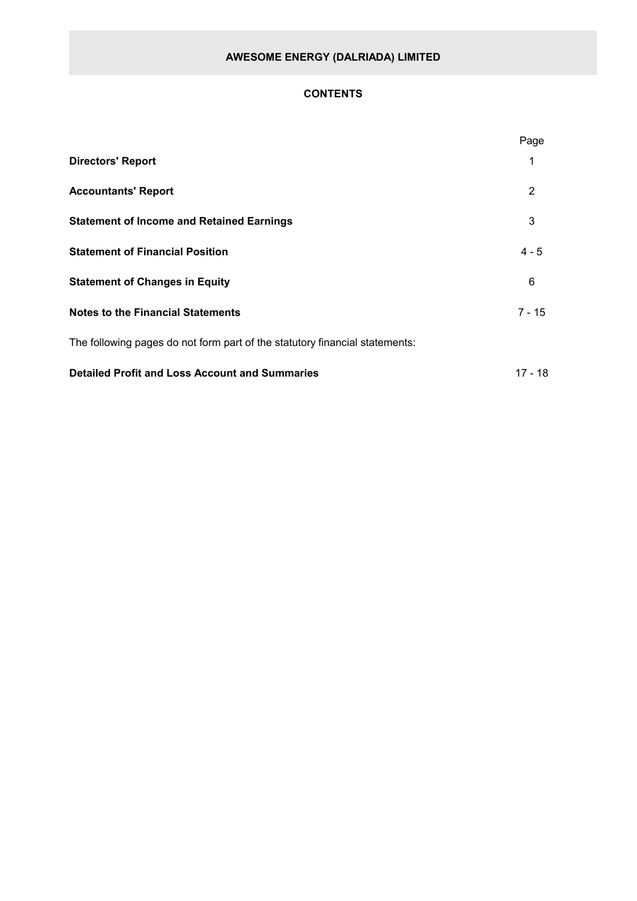# **CONTENTS**

|                                                                             | Page           |
|-----------------------------------------------------------------------------|----------------|
| <b>Directors' Report</b>                                                    | 1              |
| <b>Accountants' Report</b>                                                  | $\overline{2}$ |
| <b>Statement of Income and Retained Earnings</b>                            | 3              |
| <b>Statement of Financial Position</b>                                      | $4 - 5$        |
| <b>Statement of Changes in Equity</b>                                       | 6              |
| <b>Notes to the Financial Statements</b>                                    | $7 - 15$       |
| The following pages do not form part of the statutory financial statements: |                |
| <b>Detailed Profit and Loss Account and Summaries</b>                       | 17 - 18        |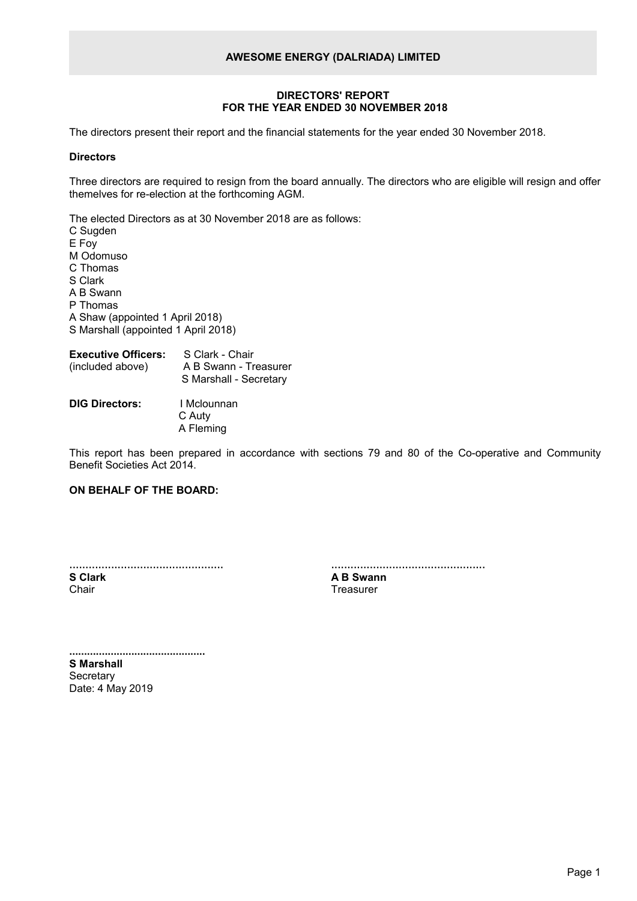### **DIRECTORS' REPORT FOR THE YEAR ENDED 30 NOVEMBER 2018**

The directors present their report and the financial statements for the year ended 30 November 2018.

#### **Directors**

Three directors are required to resign from the board annually. The directors who are eligible will resign and offer themelves for re-election at the forthcoming AGM.

The elected Directors as at 30 November 2018 are as follows:

C Sugden E Foy M Odomuso C Thomas S Clark A B Swann P Thomas A Shaw (appointed 1 April 2018) S Marshall (appointed 1 April 2018)

| <b>Executive Officers:</b><br>(included above) | S Clark - Chair<br>A B Swann - Treasurer<br>S Marshall - Secretary |
|------------------------------------------------|--------------------------------------------------------------------|
| <b>DIC Diroctore:</b>                          | $I$ Melouppon                                                      |

**DIG Directors:** I Mclounnan C Auty A Fleming

This report has been prepared in accordance with sections 79 and 80 of the Co-operative and Community Benefit Societies Act 2014.

# **ON BEHALF OF THE BOARD:**

| <b>S</b> Clark |  |  |
|----------------|--|--|
| Chair          |  |  |

| A B Swann |  |
|-----------|--|
|           |  |

**Treasurer** 

**.............................................. S Marshall Secretary** Date: 4 May 2019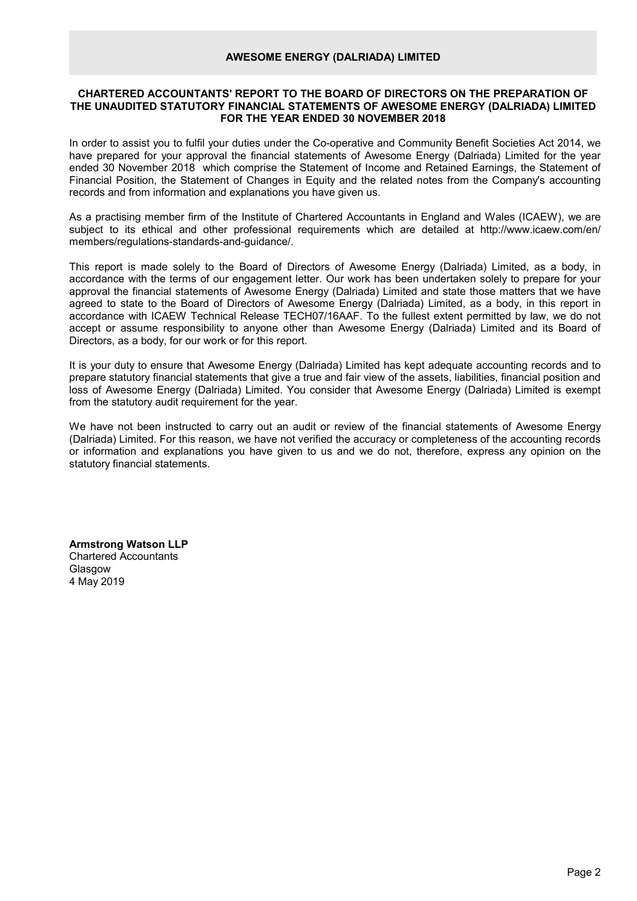## **CHARTERED ACCOUNTANTS' REPORT TO THE BOARD OF DIRECTORS ON THE PREPARATION OF THE UNAUDITED STATUTORY FINANCIAL STATEMENTS OF AWESOME ENERGY (DALRIADA) LIMITED FOR THE YEAR ENDED 30 NOVEMBER 2018**

In order to assist you to fulfil your duties under the Co-operative and Community Benefit Societies Act 2014, we have prepared for your approval the financial statements of Awesome Energy (Dalriada) Limited for the year ended 30 November 2018 which comprise the Statement of Income and Retained Earnings, the Statement of Financial Position, the Statement of Changes in Equity and the related notes from the Company's accounting records and from information and explanations you have given us.

As a practising member firm of the Institute of Chartered Accountants in England and Wales (ICAEW), we are subject to its ethical and other professional requirements which are detailed at http://www.icaew.com/en/ members/regulations-standards-and-guidance/.

This report is made solely to the Board of Directors of Awesome Energy (Dalriada) Limited, as a body, in accordance with the terms of our engagement letter. Our work has been undertaken solely to prepare for your approval the financial statements of Awesome Energy (Dalriada) Limited and state those matters that we have agreed to state to the Board of Directors of Awesome Energy (Dalriada) Limited, as a body, in this report in accordance with ICAEW Technical Release TECH07/16AAF. To the fullest extent permitted by law, we do not accept or assume responsibility to anyone other than Awesome Energy (Dalriada) Limited and its Board of Directors, as a body, for our work or for this report.

It is your duty to ensure that Awesome Energy (Dalriada) Limited has kept adequate accounting records and to prepare statutory financial statements that give a true and fair view of the assets, liabilities, financial position and loss of Awesome Energy (Dalriada) Limited. You consider that Awesome Energy (Dalriada) Limited is exempt from the statutory audit requirement for the year.

We have not been instructed to carry out an audit or review of the financial statements of Awesome Energy (Dalriada) Limited. For this reason, we have not verified the accuracy or completeness of the accounting records or information and explanations you have given to us and we do not, therefore, express any opinion on the statutory financial statements.

**Armstrong Watson LLP** Chartered Accountants Glasgow 4 May 2019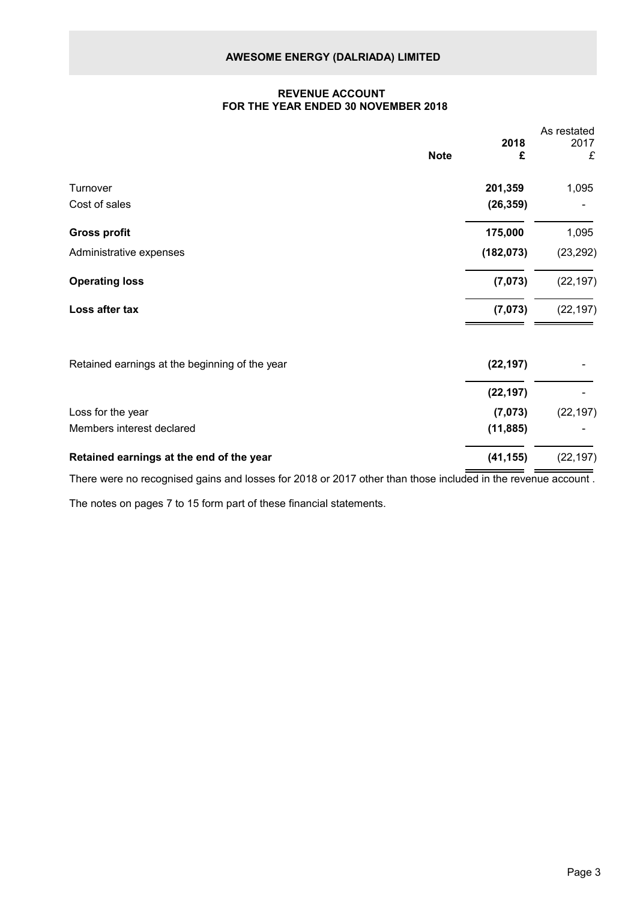## **REVENUE ACCOUNT FOR THE YEAR ENDED 30 NOVEMBER 2018**

|                                                |             |            | As restated |
|------------------------------------------------|-------------|------------|-------------|
|                                                | <b>Note</b> | 2018<br>£  | 2017<br>£   |
| Turnover                                       |             | 201,359    | 1,095       |
| Cost of sales                                  |             | (26, 359)  |             |
| <b>Gross profit</b>                            |             | 175,000    | 1,095       |
| Administrative expenses                        |             | (182, 073) | (23, 292)   |
| <b>Operating loss</b>                          |             | (7,073)    | (22, 197)   |
| Loss after tax                                 |             | (7,073)    | (22, 197)   |
| Retained earnings at the beginning of the year |             | (22, 197)  |             |
|                                                |             | (22, 197)  |             |
| Loss for the year                              |             | (7,073)    | (22, 197)   |
| Members interest declared                      |             | (11, 885)  |             |
| Retained earnings at the end of the year       |             | (41, 155)  | (22, 197)   |

There were no recognised gains and losses for 2018 or 2017 other than those included in the revenue account .

The notes on pages 7 to 15 form part of these financial statements.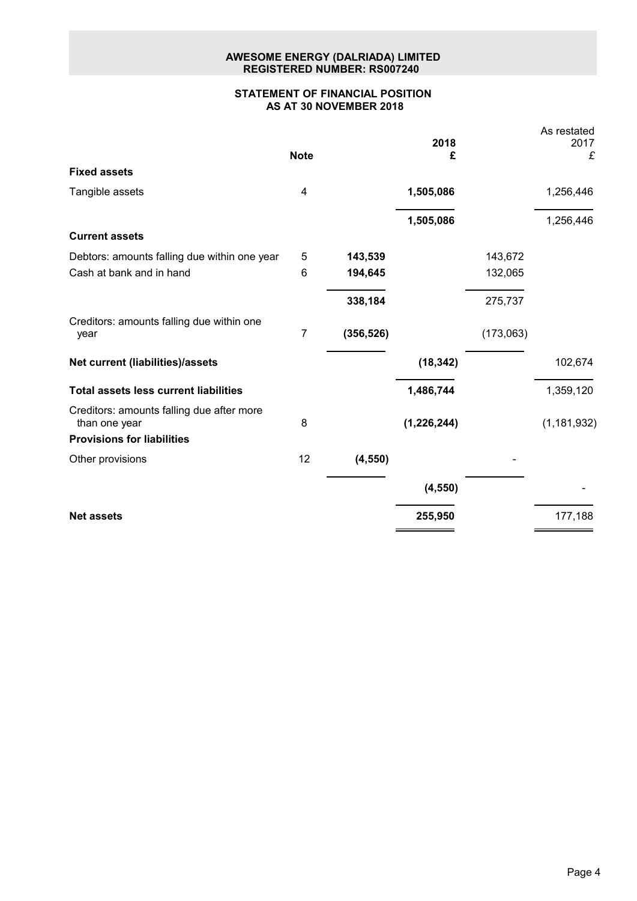# **AWESOME ENERGY (DALRIADA) LIMITED REGISTERED NUMBER: RS007240**

# **STATEMENT OF FINANCIAL POSITION AS AT 30 NOVEMBER 2018**

|    |             | 2018          |                | As restated<br>2017<br>£ |
|----|-------------|---------------|----------------|--------------------------|
|    |             |               |                |                          |
| 4  |             | 1,505,086     |                | 1,256,446                |
|    |             |               |                | 1,256,446                |
|    |             |               |                |                          |
| 5  | 143,539     |               | 143,672        |                          |
| 6  | 194,645     |               | 132,065        |                          |
|    | 338,184     |               | 275,737        |                          |
| 7  | (356, 526)  |               | (173,063)      |                          |
|    |             | (18, 342)     |                | 102,674                  |
|    |             | 1,486,744     |                | 1,359,120                |
| 8  |             | (1, 226, 244) |                | (1, 181, 932)            |
|    |             |               |                |                          |
| 12 | (4, 550)    |               |                |                          |
|    |             | (4, 550)      |                |                          |
|    |             | 255,950       |                | 177,188                  |
|    | <b>Note</b> |               | £<br>1,505,086 |                          |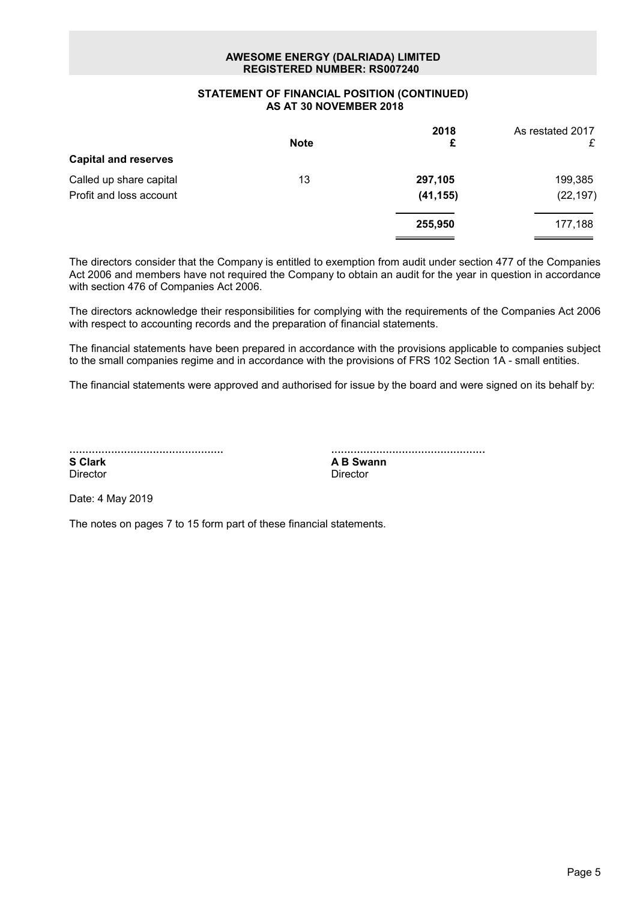# **AWESOME ENERGY (DALRIADA) LIMITED REGISTERED NUMBER: RS007240**

## **STATEMENT OF FINANCIAL POSITION (CONTINUED) AS AT 30 NOVEMBER 2018**

|                             |             | 2018      | As restated 2017 |
|-----------------------------|-------------|-----------|------------------|
|                             | <b>Note</b> | £         | £                |
| <b>Capital and reserves</b> |             |           |                  |
| Called up share capital     | 13          | 297,105   | 199,385          |
| Profit and loss account     |             | (41, 155) | (22, 197)        |
|                             |             | 255,950   | 177,188          |
|                             |             |           |                  |

The directors consider that the Company is entitled to exemption from audit under section 477 of the Companies Act 2006 and members have not required the Company to obtain an audit for the year in question in accordance with section 476 of Companies Act 2006.

The directors acknowledge their responsibilities for complying with the requirements of the Companies Act 2006 with respect to accounting records and the preparation of financial statements.

The financial statements have been prepared in accordance with the provisions applicable to companies subject to the small companies regime and in accordance with the provisions of FRS 102 Section 1A - small entities.

The financial statements were approved and authorised for issue by the board and were signed on its behalf by:

| <b>S</b> Clark |  |  |
|----------------|--|--|
| Director       |  |  |

................................................ **A B Swann** Director

Date: 4 May 2019

The notes on pages 7 to 15 form part of these financial statements.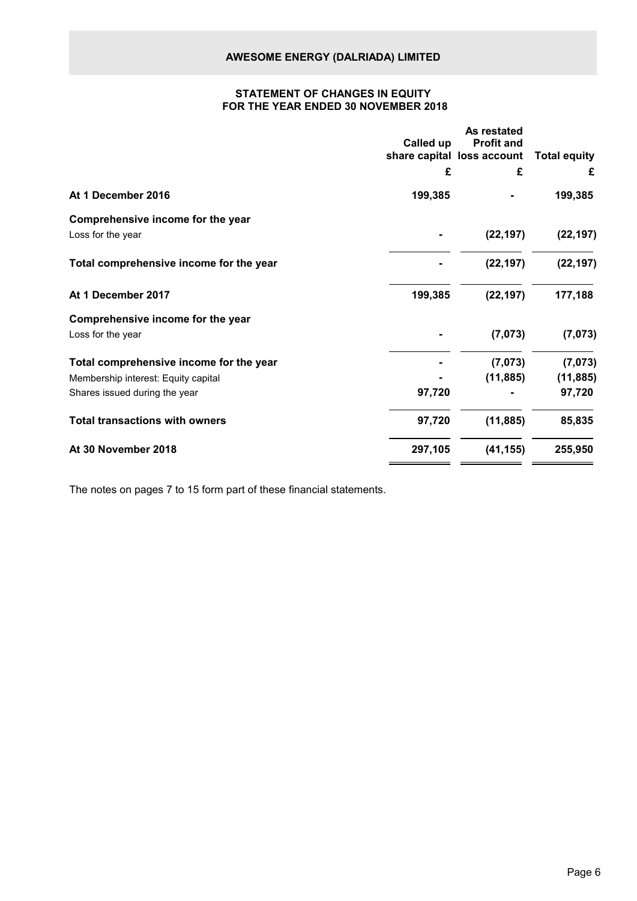# **STATEMENT OF CHANGES IN EQUITY FOR THE YEAR ENDED 30 NOVEMBER 2018**

|                                         | Called up | As restated<br><b>Profit and</b> |                     |
|-----------------------------------------|-----------|----------------------------------|---------------------|
|                                         |           | share capital loss account       | <b>Total equity</b> |
|                                         | £         | £                                | £                   |
| At 1 December 2016                      | 199,385   |                                  | 199,385             |
| Comprehensive income for the year       |           |                                  |                     |
| Loss for the year                       |           | (22, 197)                        | (22, 197)           |
| Total comprehensive income for the year |           | (22, 197)                        | (22, 197)           |
| At 1 December 2017                      | 199,385   | (22, 197)                        | 177,188             |
| Comprehensive income for the year       |           |                                  |                     |
| Loss for the year                       |           | (7,073)                          | (7,073)             |
| Total comprehensive income for the year |           | (7,073)                          | (7,073)             |
| Membership interest: Equity capital     |           | (11, 885)                        | (11, 885)           |
| Shares issued during the year           | 97,720    |                                  | 97,720              |
| <b>Total transactions with owners</b>   | 97,720    | (11, 885)                        | 85,835              |
| At 30 November 2018                     | 297,105   | (41, 155)                        | 255,950             |

The notes on pages 7 to 15 form part of these financial statements.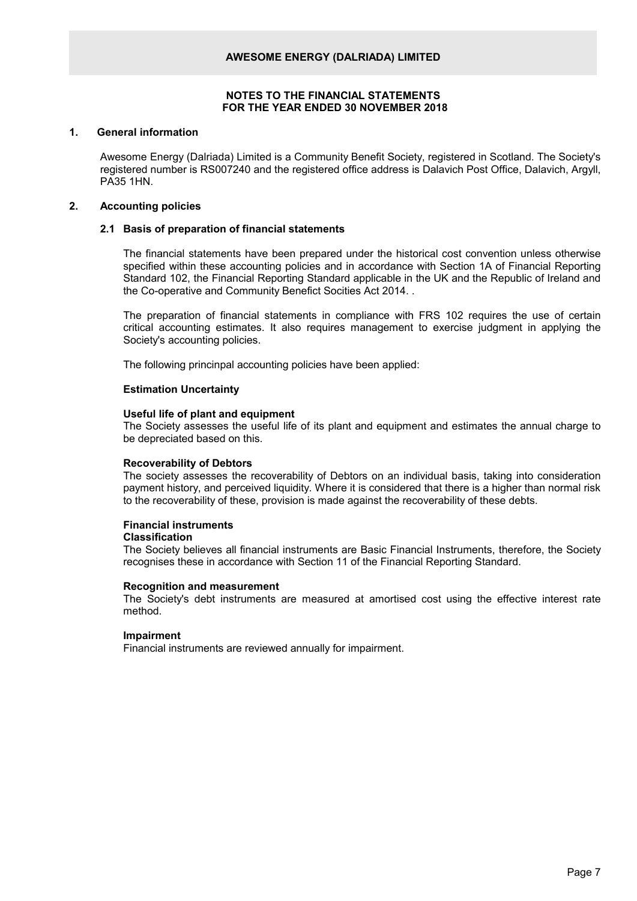#### **1. General information**

Awesome Energy (Dalriada) Limited is a Community Benefit Society, registered in Scotland. The Society's registered number is RS007240 and the registered office address is Dalavich Post Office, Dalavich, Argyll, PA35 1HN.

#### **2. Accounting policies**

#### **2.1 Basis of preparation of financial statements**

The financial statements have been prepared under the historical cost convention unless otherwise specified within these accounting policies and in accordance with Section 1A of Financial Reporting Standard 102, the Financial Reporting Standard applicable in the UK and the Republic of Ireland and the Co-operative and Community Benefict Socities Act 2014. .

The preparation of financial statements in compliance with FRS 102 requires the use of certain critical accounting estimates. It also requires management to exercise judgment in applying the Society's accounting policies.

The following princinpal accounting policies have been applied:

#### **Estimation Uncertainty**

#### **Useful life of plant and equipment**

The Society assesses the useful life of its plant and equipment and estimates the annual charge to be depreciated based on this.

#### **Recoverability of Debtors**

The society assesses the recoverability of Debtors on an individual basis, taking into consideration payment history, and perceived liquidity. Where it is considered that there is a higher than normal risk to the recoverability of these, provision is made against the recoverability of these debts.

#### **Financial instruments Classification**

The Society believes all financial instruments are Basic Financial Instruments, therefore, the Society recognises these in accordance with Section 11 of the Financial Reporting Standard.

#### **Recognition and measurement**

The Society's debt instruments are measured at amortised cost using the effective interest rate method.

#### **Impairment**

Financial instruments are reviewed annually for impairment.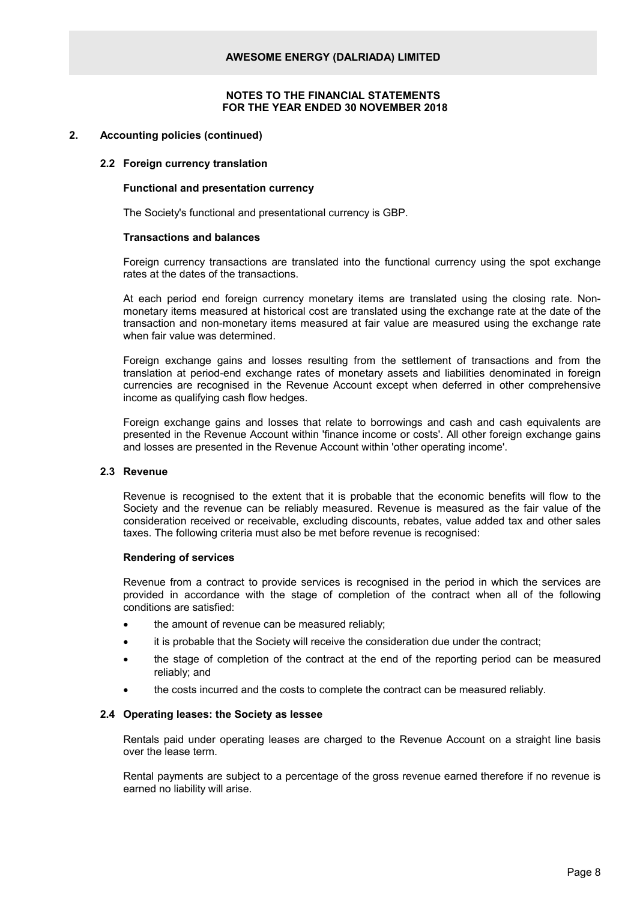## **2. Accounting policies (continued)**

#### **2.2 Foreign currency translation**

#### **Functional and presentation currency**

The Society's functional and presentational currency is GBP.

#### **Transactions and balances**

Foreign currency transactions are translated into the functional currency using the spot exchange rates at the dates of the transactions.

At each period end foreign currency monetary items are translated using the closing rate. Nonmonetary items measured at historical cost are translated using the exchange rate at the date of the transaction and non-monetary items measured at fair value are measured using the exchange rate when fair value was determined.

Foreign exchange gains and losses resulting from the settlement of transactions and from the translation at period-end exchange rates of monetary assets and liabilities denominated in foreign currencies are recognised in the Revenue Account except when deferred in other comprehensive income as qualifying cash flow hedges.

Foreign exchange gains and losses that relate to borrowings and cash and cash equivalents are presented in the Revenue Account within 'finance income or costs'. All other foreign exchange gains and losses are presented in the Revenue Account within 'other operating income'.

#### **2.3 Revenue**

Revenue is recognised to the extent that it is probable that the economic benefits will flow to the Society and the revenue can be reliably measured. Revenue is measured as the fair value of the consideration received or receivable, excluding discounts, rebates, value added tax and other sales taxes. The following criteria must also be met before revenue is recognised:

#### **Rendering of services**

Revenue from a contract to provide services is recognised in the period in which the services are provided in accordance with the stage of completion of the contract when all of the following conditions are satisfied:

- the amount of revenue can be measured reliably;
- it is probable that the Society will receive the consideration due under the contract;
- the stage of completion of the contract at the end of the reporting period can be measured reliably; and
- the costs incurred and the costs to complete the contract can be measured reliably.

#### **2.4 Operating leases: the Society as lessee**

Rentals paid under operating leases are charged to the Revenue Account on a straight line basis over the lease term.

Rental payments are subject to a percentage of the gross revenue earned therefore if no revenue is earned no liability will arise.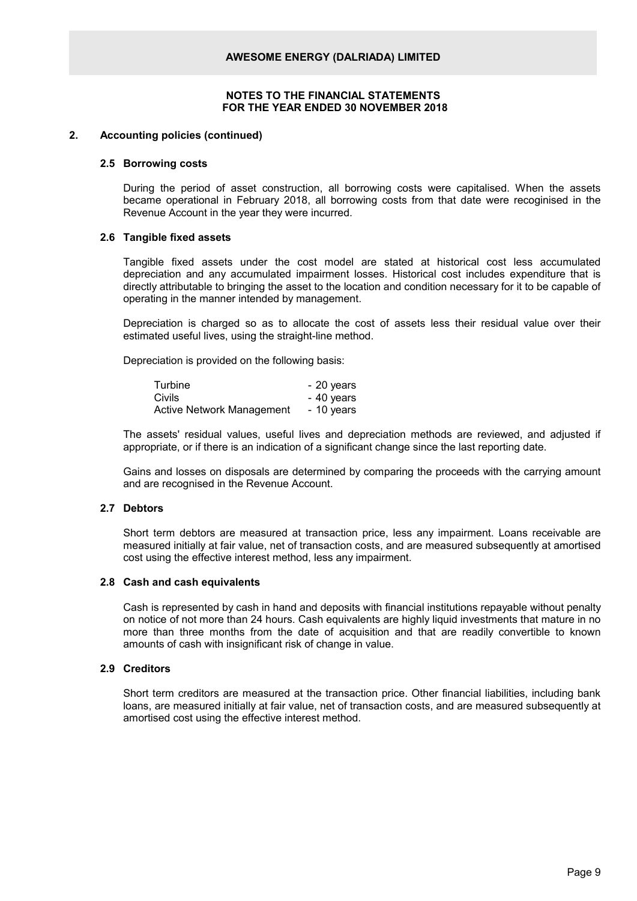#### **2. Accounting policies (continued)**

#### **2.5 Borrowing costs**

During the period of asset construction, all borrowing costs were capitalised. When the assets became operational in February 2018, all borrowing costs from that date were recoginised in the Revenue Account in the year they were incurred.

#### **2.6 Tangible fixed assets**

Tangible fixed assets under the cost model are stated at historical cost less accumulated depreciation and any accumulated impairment losses. Historical cost includes expenditure that is directly attributable to bringing the asset to the location and condition necessary for it to be capable of operating in the manner intended by management.

Depreciation is charged so as to allocate the cost of assets less their residual value over their estimated useful lives, using the straight-line method.

Depreciation is provided on the following basis:

| Turbine                          | - 20 years |
|----------------------------------|------------|
| Civils                           | - 40 years |
| <b>Active Network Management</b> | - 10 years |

The assets' residual values, useful lives and depreciation methods are reviewed, and adjusted if appropriate, or if there is an indication of a significant change since the last reporting date.

Gains and losses on disposals are determined by comparing the proceeds with the carrying amount and are recognised in the Revenue Account.

#### **2.7 Debtors**

Short term debtors are measured at transaction price, less any impairment. Loans receivable are measured initially at fair value, net of transaction costs, and are measured subsequently at amortised cost using the effective interest method, less any impairment.

#### **2.8 Cash and cash equivalents**

Cash is represented by cash in hand and deposits with financial institutions repayable without penalty on notice of not more than 24 hours. Cash equivalents are highly liquid investments that mature in no more than three months from the date of acquisition and that are readily convertible to known amounts of cash with insignificant risk of change in value.

# **2.9 Creditors**

Short term creditors are measured at the transaction price. Other financial liabilities, including bank loans, are measured initially at fair value, net of transaction costs, and are measured subsequently at amortised cost using the effective interest method.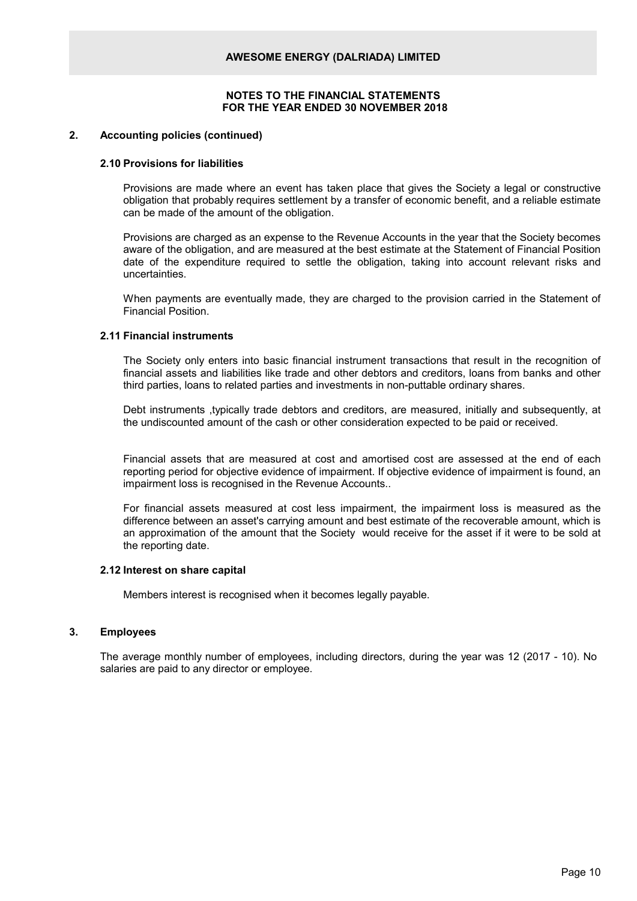#### **2. Accounting policies (continued)**

#### **2.10 Provisions for liabilities**

Provisions are made where an event has taken place that gives the Society a legal or constructive obligation that probably requires settlement by a transfer of economic benefit, and a reliable estimate can be made of the amount of the obligation.

Provisions are charged as an expense to the Revenue Accounts in the year that the Society becomes aware of the obligation, and are measured at the best estimate at the Statement of Financial Position date of the expenditure required to settle the obligation, taking into account relevant risks and uncertainties.

When payments are eventually made, they are charged to the provision carried in the Statement of Financial Position.

# **2.11 Financial instruments**

The Society only enters into basic financial instrument transactions that result in the recognition of financial assets and liabilities like trade and other debtors and creditors, loans from banks and other third parties, loans to related parties and investments in non-puttable ordinary shares.

Debt instruments ,typically trade debtors and creditors, are measured, initially and subsequently, at the undiscounted amount of the cash or other consideration expected to be paid or received.

Financial assets that are measured at cost and amortised cost are assessed at the end of each reporting period for objective evidence of impairment. If objective evidence of impairment is found, an impairment loss is recognised in the Revenue Accounts..

For financial assets measured at cost less impairment, the impairment loss is measured as the difference between an asset's carrying amount and best estimate of the recoverable amount, which is an approximation of the amount that the Society would receive for the asset if it were to be sold at the reporting date.

#### **2.12 Interest on share capital**

Members interest is recognised when it becomes legally payable.

#### **3. Employees**

The average monthly number of employees, including directors, during the year was 12 (2017 - 10). No salaries are paid to any director or employee.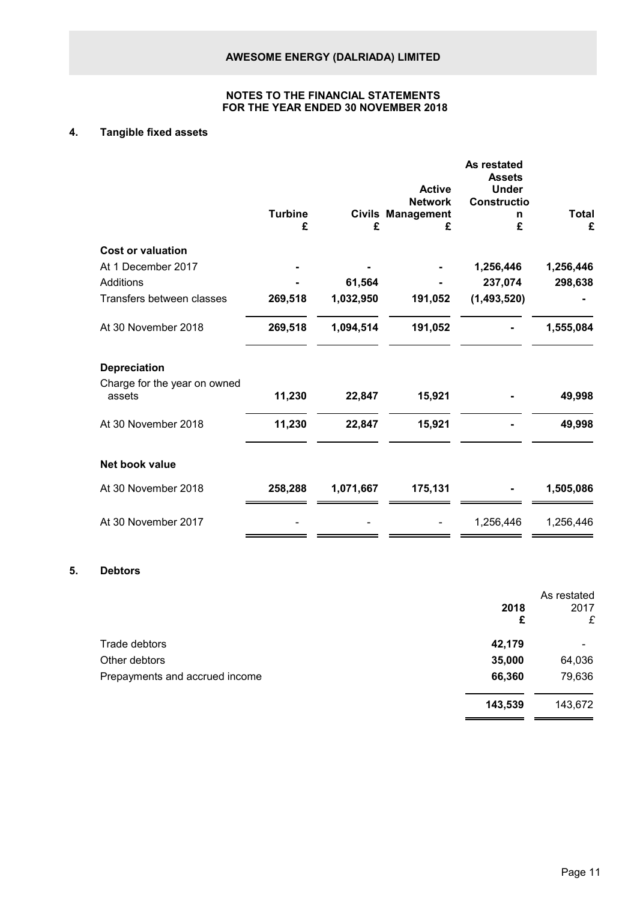# **4. Tangible fixed assets**

| <b>Constructio</b><br><b>Network</b><br><b>Turbine</b><br><b>Civils Management</b><br>n | <b>Total</b> |
|-----------------------------------------------------------------------------------------|--------------|
| £<br>£<br>£<br>£                                                                        | £            |
| <b>Cost or valuation</b>                                                                |              |
| At 1 December 2017<br>1,256,446                                                         | 1,256,446    |
| Additions<br>61,564<br>237,074                                                          | 298,638      |
| Transfers between classes<br>269,518<br>1,032,950<br>191,052<br>(1,493,520)             |              |
| At 30 November 2018<br>1,094,514<br>269,518<br>191,052                                  | 1,555,084    |
| <b>Depreciation</b>                                                                     |              |
| Charge for the year on owned<br>assets<br>11,230<br>15,921<br>22,847                    | 49,998       |
| At 30 November 2018<br>11,230<br>22,847<br>15,921                                       | 49,998       |
| Net book value                                                                          |              |
| At 30 November 2018<br>175,131<br>258,288<br>1,071,667                                  | 1,505,086    |
| At 30 November 2017<br>1,256,446                                                        | 1,256,446    |

# **5. Debtors**

|                                |         | As restated |
|--------------------------------|---------|-------------|
|                                | 2018    | 2017        |
|                                | £       | £           |
| Trade debtors                  | 42,179  |             |
| Other debtors                  | 35,000  | 64,036      |
| Prepayments and accrued income | 66,360  | 79,636      |
|                                | 143,539 | 143,672     |
|                                |         |             |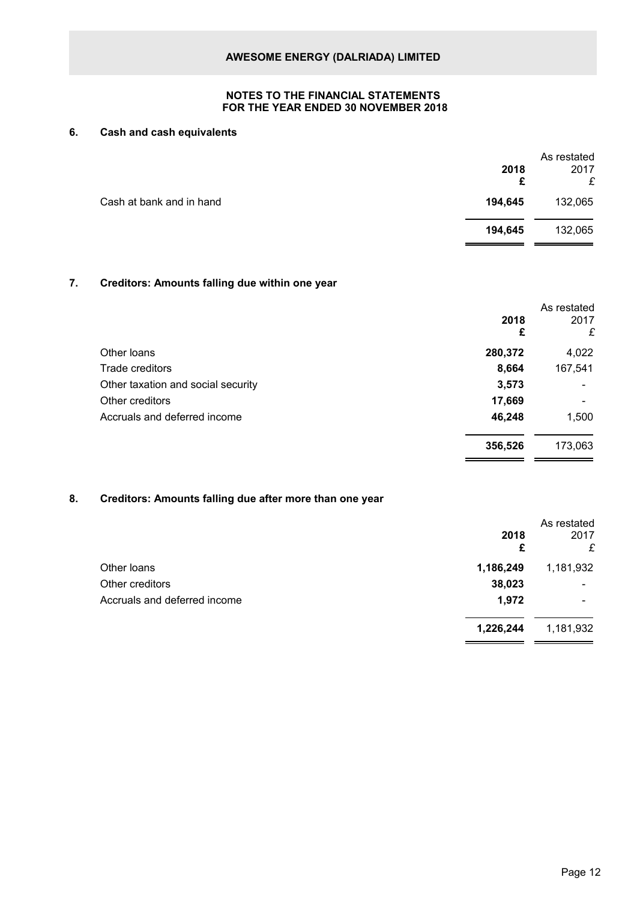# **6. Cash and cash equivalents**

|                          | 2018<br>£ | As restated<br>2017<br>£ |
|--------------------------|-----------|--------------------------|
| Cash at bank and in hand | 194,645   | 132,065                  |
|                          | 194,645   | 132,065                  |
|                          |           |                          |

# **7. Creditors: Amounts falling due within one year**

|                                    | 2018<br>£ | As restated<br>2017<br>£ |
|------------------------------------|-----------|--------------------------|
| Other loans                        | 280,372   | 4,022                    |
| Trade creditors                    | 8,664     | 167,541                  |
| Other taxation and social security | 3,573     |                          |
| Other creditors                    | 17,669    |                          |
| Accruals and deferred income       | 46,248    | 1,500                    |
|                                    | 356,526   | 173,063                  |

# **8. Creditors: Amounts falling due after more than one year**

|                              | 2018<br>£ | As restated<br>2017<br>£ |
|------------------------------|-----------|--------------------------|
| Other loans                  | 1,186,249 | 1,181,932                |
| Other creditors              | 38,023    |                          |
| Accruals and deferred income | 1,972     | -                        |
|                              | 1,226,244 | 1,181,932                |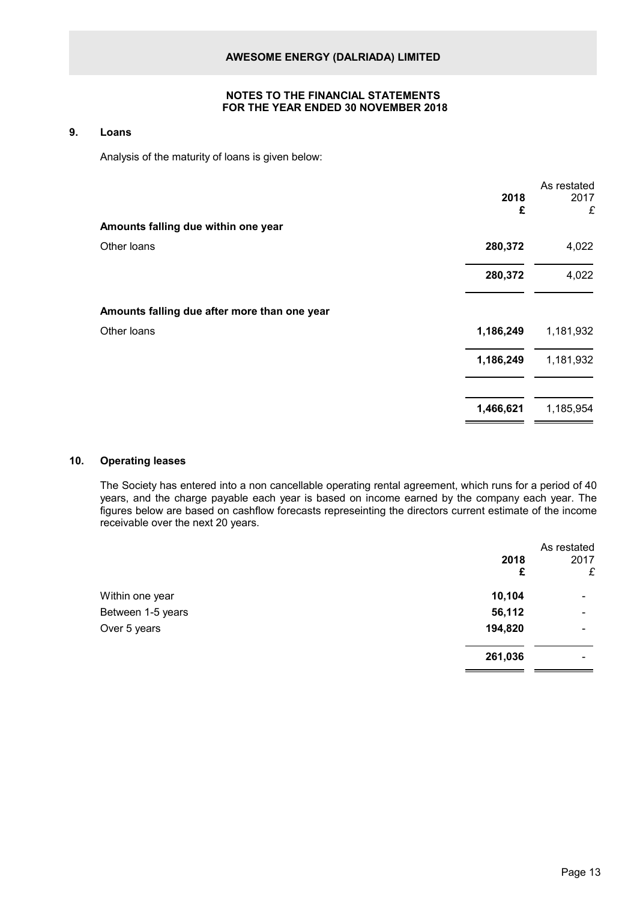#### **9. Loans**

Analysis of the maturity of loans is given below:

|           | As restated |
|-----------|-------------|
| 2018      | 2017        |
| £         | £           |
|           |             |
| 280,372   | 4,022       |
| 280,372   | 4,022       |
|           |             |
| 1,186,249 | 1,181,932   |
| 1,186,249 | 1,181,932   |
| 1,466,621 | 1,185,954   |
|           |             |

# **10. Operating leases**

The Society has entered into a non cancellable operating rental agreement, which runs for a period of 40 years, and the charge payable each year is based on income earned by the company each year. The figures below are based on cashflow forecasts represeinting the directors current estimate of the income receivable over the next 20 years.

|                   | 2018<br>£ | As restated<br>2017<br>£     |
|-------------------|-----------|------------------------------|
| Within one year   | 10,104    | $\overline{\phantom{0}}$     |
| Between 1-5 years | 56,112    | $\qquad \qquad \blacksquare$ |
| Over 5 years      | 194,820   | $\qquad \qquad \blacksquare$ |
|                   | 261,036   | $\overline{\phantom{0}}$     |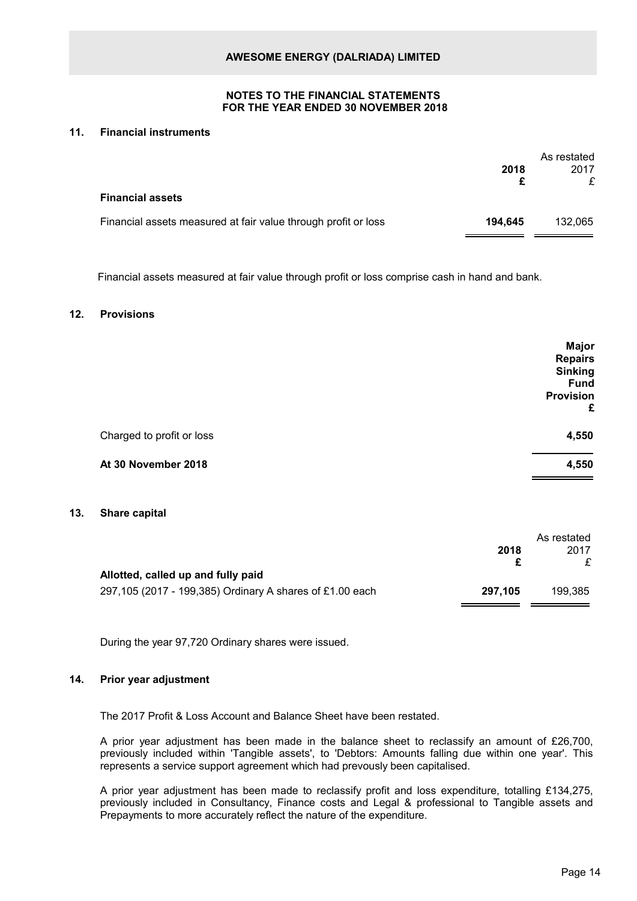#### **11. Financial instruments**

|                                                                | 2018    | As restated<br>2017<br>£ |
|----------------------------------------------------------------|---------|--------------------------|
| <b>Financial assets</b>                                        |         |                          |
| Financial assets measured at fair value through profit or loss | 194.645 | 132.065                  |

Financial assets measured at fair value through profit or loss comprise cash in hand and bank.

# **12. Provisions**

|                           | <b>Major</b><br><b>Repairs</b><br><b>Sinking</b><br><b>Fund</b><br><b>Provision</b><br>£ |
|---------------------------|------------------------------------------------------------------------------------------|
| Charged to profit or loss | 4,550                                                                                    |
| At 30 November 2018       | 4,550                                                                                    |

#### **13. Share capital**

|         | As restated |
|---------|-------------|
| 2018    | 2017        |
|         |             |
|         |             |
| 297.105 | 199.385     |
|         |             |

During the year 97,720 Ordinary shares were issued.

#### **14. Prior year adjustment**

The 2017 Profit & Loss Account and Balance Sheet have been restated.

A prior year adjustment has been made in the balance sheet to reclassify an amount of £26,700, previously included within 'Tangible assets', to 'Debtors: Amounts falling due within one year'. This represents a service support agreement which had prevously been capitalised.

A prior year adjustment has been made to reclassify profit and loss expenditure, totalling £134,275, previously included in Consultancy, Finance costs and Legal & professional to Tangible assets and Prepayments to more accurately reflect the nature of the expenditure.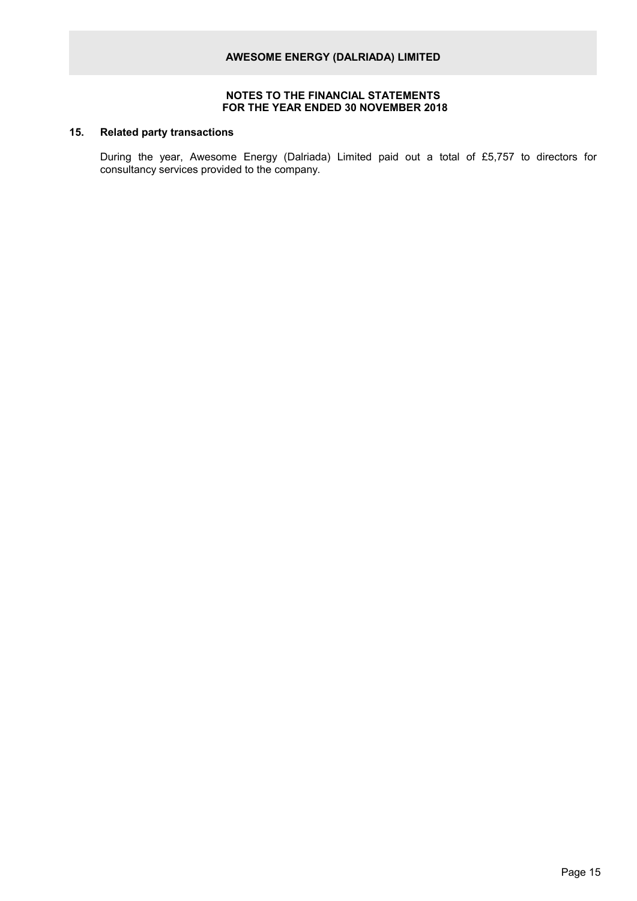# **15. Related party transactions**

During the year, Awesome Energy (Dalriada) Limited paid out a total of £5,757 to directors for consultancy services provided to the company.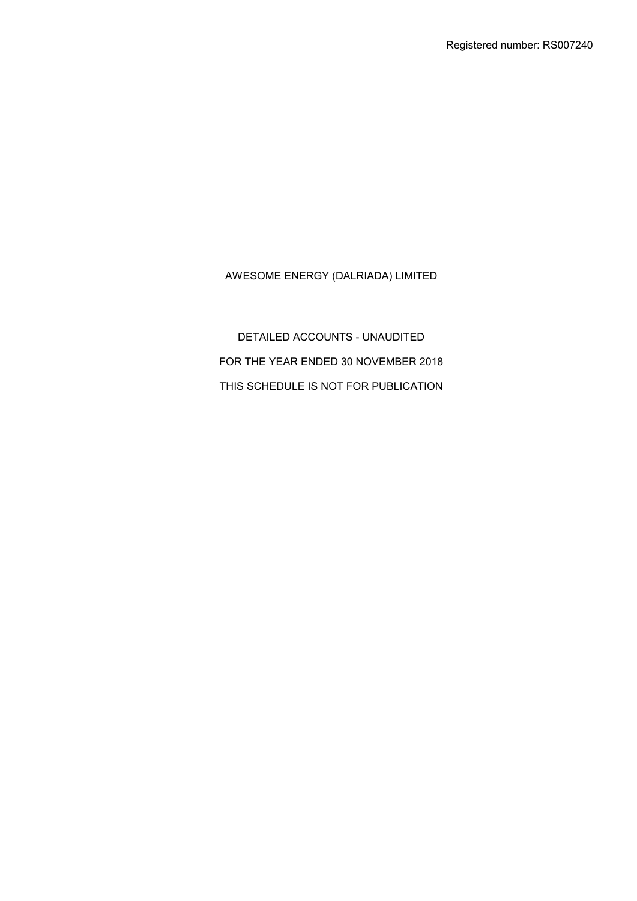DETAILED ACCOUNTS - UNAUDITED FOR THE YEAR ENDED 30 NOVEMBER 2018 THIS SCHEDULE IS NOT FOR PUBLICATION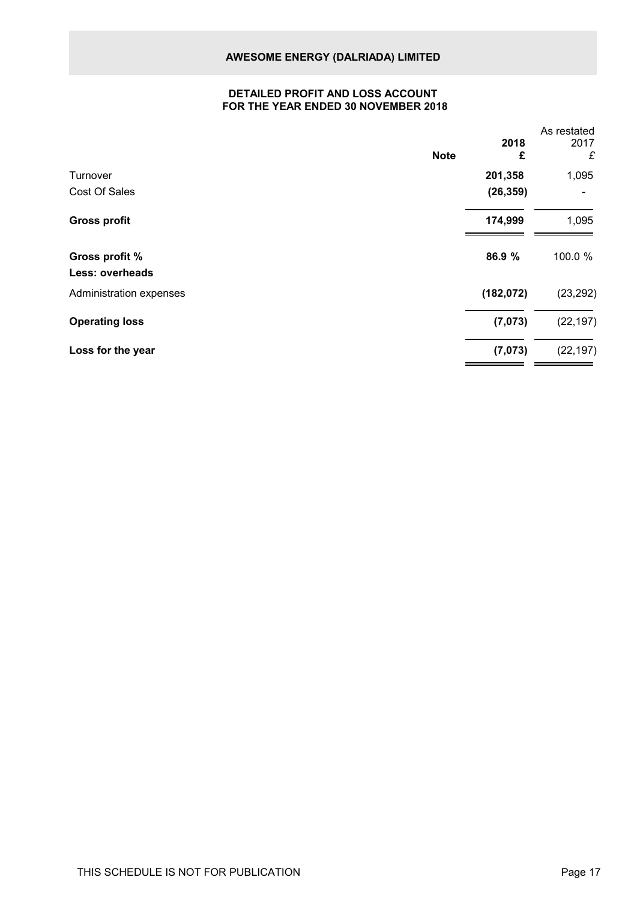# **DETAILED PROFIT AND LOSS ACCOUNT FOR THE YEAR ENDED 30 NOVEMBER 2018**

| <b>Note</b>             | 2018<br>£  | As restated<br>2017<br>£ |
|-------------------------|------------|--------------------------|
| Turnover                | 201,358    | 1,095                    |
| Cost Of Sales           | (26, 359)  |                          |
| <b>Gross profit</b>     | 174,999    | 1,095                    |
| Gross profit %          | 86.9 %     | 100.0 %                  |
| Less: overheads         |            |                          |
| Administration expenses | (182, 072) | (23, 292)                |
| <b>Operating loss</b>   | (7,073)    | (22, 197)                |
| Loss for the year       | (7,073)    | (22, 197)                |